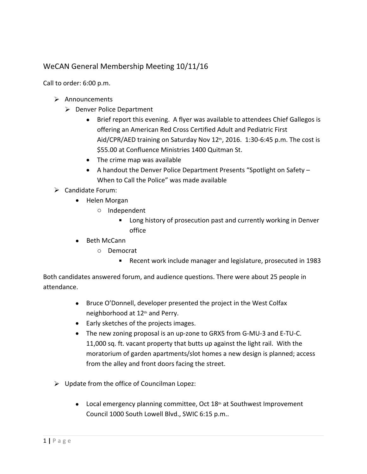## WeCAN General Membership Meeting 10/11/16

Call to order: 6:00 p.m.

- $\triangleright$  Announcements
	- ▶ Denver Police Department
		- Brief report this evening. A flyer was available to attendees Chief Gallegos is offering an American Red Cross Certified Adult and Pediatric First Aid/CPR/AED training on Saturday Nov 12<sup>th</sup>, 2016. 1:30-6:45 p.m. The cost is \$55.00 at Confluence Ministries 1400 Quitman St.
		- The crime map was available
		- A handout the Denver Police Department Presents "Spotlight on Safety When to Call the Police" was made available
- Candidate Forum:
	- Helen Morgan
		- o Independent
			- **EXECT** Long history of prosecution past and currently working in Denver office
	- Beth McCann
		- o Democrat
			- Recent work include manager and legislature, prosecuted in 1983

Both candidates answered forum, and audience questions. There were about 25 people in attendance.

- Bruce O'Donnell, developer presented the project in the West Colfax neighborhood at 12<sup>th</sup> and Perry.
- Early sketches of the projects images.
- The new zoning proposal is an up-zone to GRX5 from G-MU-3 and E-TU-C. 11,000 sq. ft. vacant property that butts up against the light rail. With the moratorium of garden apartments/slot homes a new design is planned; access from the alley and front doors facing the street.
- $\triangleright$  Update from the office of Councilman Lopez:
	- $\bullet$  Local emergency planning committee, Oct 18<sup>th</sup> at Southwest Improvement Council 1000 South Lowell Blvd., SWIC 6:15 p.m..